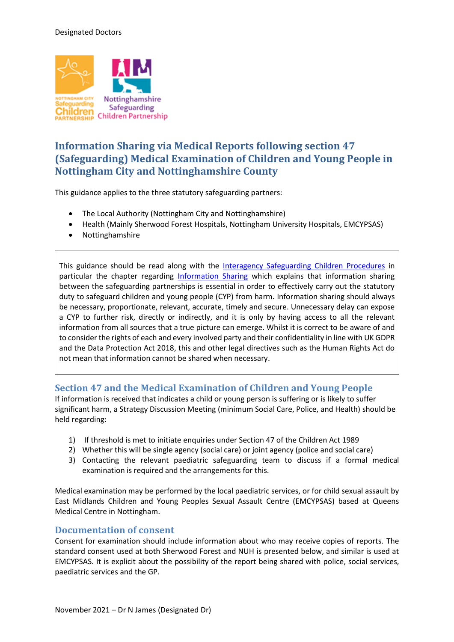

# **Information Sharing via Medical Reports following section 47 (Safeguarding) Medical Examination of Children and Young People in Nottingham City and Nottinghamshire County**

This guidance applies to the three statutory safeguarding partners:

- The Local Authority (Nottingham City and Nottinghamshire)
- Health (Mainly Sherwood Forest Hospitals, Nottingham University Hospitals, EMCYPSAS)
- Nottinghamshire

This guidance should be read along with the [Interagency Safeguarding Children Procedures](https://nottinghamshirescb.proceduresonline.com/index.html) in particular the chapter regarding [Information Sharing](https://nottinghamshirescb.proceduresonline.com/p_info_sharing.html) which explains that information sharing between the safeguarding partnerships is essential in order to effectively carry out the statutory duty to safeguard children and young people (CYP) from harm. Information sharing should always be necessary, proportionate, relevant, accurate, timely and secure. Unnecessary delay can expose a CYP to further risk, directly or indirectly, and it is only by having access to all the relevant information from all sources that a true picture can emerge. Whilst it is correct to be aware of and to consider the rights of each and every involved party and their confidentiality in line with UK GDPR and the Data Protection Act 2018, this and other legal directives such as the Human Rights Act do not mean that information cannot be shared when necessary.

## **Section 47 and the Medical Examination of Children and Young People**

If information is received that indicates a child or young person is suffering or is likely to suffer significant harm, a Strategy Discussion Meeting (minimum Social Care, Police, and Health) should be held regarding:

- 1) If threshold is met to initiate enquiries under Section 47 of the Children Act 1989
- 2) Whether this will be single agency (social care) or joint agency (police and social care)
- 3) Contacting the relevant paediatric safeguarding team to discuss if a formal medical examination is required and the arrangements for this.

Medical examination may be performed by the local paediatric services, or for child sexual assault by East Midlands Children and Young Peoples Sexual Assault Centre (EMCYPSAS) based at Queens Medical Centre in Nottingham.

#### **Documentation of consent**

Consent for examination should include information about who may receive copies of reports. The standard consent used at both Sherwood Forest and NUH is presented below, and similar is used at EMCYPSAS. It is explicit about the possibility of the report being shared with police, social services, paediatric services and the GP.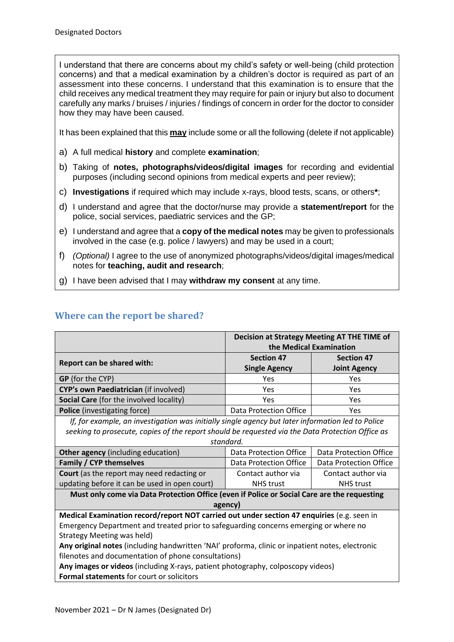I understand that there are concerns about my child's safety or well-being (child protection concerns) and that a medical examination by a children's doctor is required as part of an assessment into these concerns. I understand that this examination is to ensure that the child receives any medical treatment they may require for pain or injury but also to document carefully any marks / bruises / injuries / findings of concern in order for the doctor to consider how they may have been caused.

It has been explained that this **may** include some or all the following (delete if not applicable)

- a) A full medical **history** and complete **examination**;
- b) Taking of **notes, photographs/videos/digital images** for recording and evidential purposes (including second opinions from medical experts and peer review);
- c) **Investigations** if required which may include x-rays, blood tests, scans, or others**\***;
- d) I understand and agree that the doctor/nurse may provide a **statement/report** for the police, social services, paediatric services and the GP;
- e) I understand and agree that a **copy of the medical notes** may be given to professionals involved in the case (e.g. police / lawyers) and may be used in a court;
- f) *(Optional)* I agree to the use of anonymized photographs/videos/digital images/medical notes for **teaching, audit and research**;
- g) I have been advised that I may **withdraw my consent** at any time.

|                                                                                                   | Decision at Strategy Meeting AT THE TIME of |                        |  |
|---------------------------------------------------------------------------------------------------|---------------------------------------------|------------------------|--|
|                                                                                                   | the Medical Examination                     |                        |  |
| Report can be shared with:                                                                        | <b>Section 47</b>                           | <b>Section 47</b>      |  |
|                                                                                                   | <b>Single Agency</b>                        | <b>Joint Agency</b>    |  |
| <b>GP</b> (for the CYP)                                                                           | Yes                                         | Yes                    |  |
| CYP's own Paediatrician (if involved)                                                             | <b>Yes</b>                                  | Yes                    |  |
| Social Care (for the involved locality)                                                           | <b>Yes</b>                                  | Yes                    |  |
| Police (investigating force)                                                                      | Data Protection Office                      | Yes                    |  |
| If, for example, an investigation was initially single agency but later information led to Police |                                             |                        |  |
| seeking to prosecute, copies of the report should be requested via the Data Protection Office as  |                                             |                        |  |
| standard.                                                                                         |                                             |                        |  |
| Other agency (including education)                                                                | Data Protection Office                      | Data Protection Office |  |
| Family / CYP themselves                                                                           | Data Protection Office                      | Data Protection Office |  |
| <b>Court</b> (as the report may need redacting or                                                 | Contact author via                          | Contact author via     |  |
| updating before it can be used in open court)                                                     | <b>NHS</b> trust                            | <b>NHS</b> trust       |  |
| Must only come via Data Protection Office (even if Police or Social Care are the requesting       |                                             |                        |  |
| agency)                                                                                           |                                             |                        |  |
| Medical Examination record/report NOT carried out under section 47 enquiries (e.g. seen in        |                                             |                        |  |
| Emergency Department and treated prior to safeguarding concerns emerging or where no              |                                             |                        |  |
| Strategy Meeting was held)                                                                        |                                             |                        |  |
| Any original notes (including handwritten 'NAI' proforma, clinic or inpatient notes, electronic   |                                             |                        |  |
| filenotes and documentation of phone consultations)                                               |                                             |                        |  |
| Any images or videos (including X-rays, patient photography, colposcopy videos)                   |                                             |                        |  |
| Formal statements for court or solicitors                                                         |                                             |                        |  |
|                                                                                                   |                                             |                        |  |

## **Where can the report be shared?**